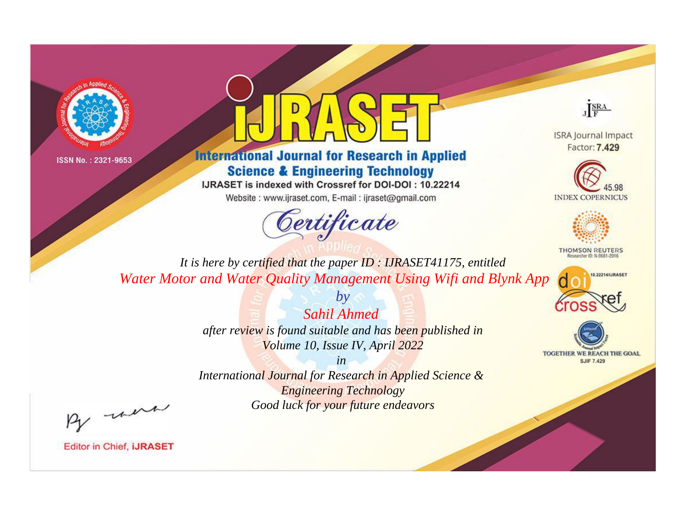



**International Journal for Research in Applied Science & Engineering Technology** 

IJRASET is indexed with Crossref for DOI-DOI: 10.22214

Website: www.ijraset.com, E-mail: ijraset@gmail.com



JERA

**ISRA Journal Impact** Factor: 7.429





**THOMSON REUTERS** 



TOGETHER WE REACH THE GOAL **SJIF 7.429** 

*It is here by certified that the paper ID : IJRASET41175, entitled Water Motor and Water Quality Management Using Wifi and Blynk App*

> *Sahil Ahmed after review is found suitable and has been published in Volume 10, Issue IV, April 2022*

*by*

*in* 

*International Journal for Research in Applied Science & Engineering Technology Good luck for your future endeavors*

By morn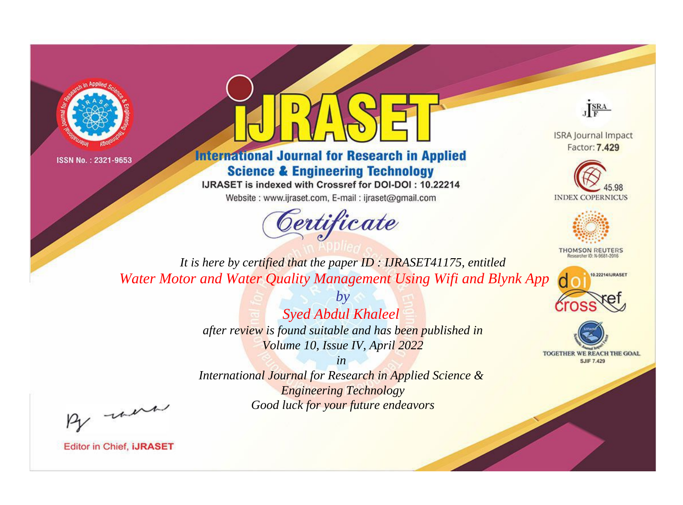



## **International Journal for Research in Applied Science & Engineering Technology**

IJRASET is indexed with Crossref for DOI-DOI: 10.22214

Website: www.ijraset.com, E-mail: ijraset@gmail.com



JERA

**ISRA Journal Impact** Factor: 7.429





**THOMSON REUTERS** 



TOGETHER WE REACH THE GOAL **SJIF 7.429** 

*It is here by certified that the paper ID : IJRASET41175, entitled Water Motor and Water Quality Management Using Wifi and Blynk App*

> *Syed Abdul Khaleel after review is found suitable and has been published in Volume 10, Issue IV, April 2022*

*by*

*in* 

*International Journal for Research in Applied Science & Engineering Technology Good luck for your future endeavors*

By morn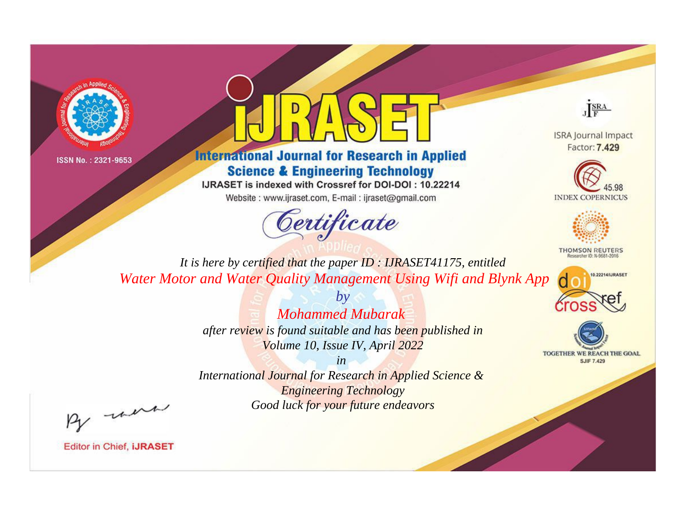



## **International Journal for Research in Applied Science & Engineering Technology**

IJRASET is indexed with Crossref for DOI-DOI: 10.22214

Website: www.ijraset.com, E-mail: ijraset@gmail.com



JERA

**ISRA Journal Impact** Factor: 7.429





**THOMSON REUTERS** 



TOGETHER WE REACH THE GOAL **SJIF 7.429** 

*It is here by certified that the paper ID : IJRASET41175, entitled Water Motor and Water Quality Management Using Wifi and Blynk App*

> *Mohammed Mubarak after review is found suitable and has been published in Volume 10, Issue IV, April 2022*

*by*

*in International Journal for Research in Applied Science &* 

*Engineering Technology Good luck for your future endeavors*

By morn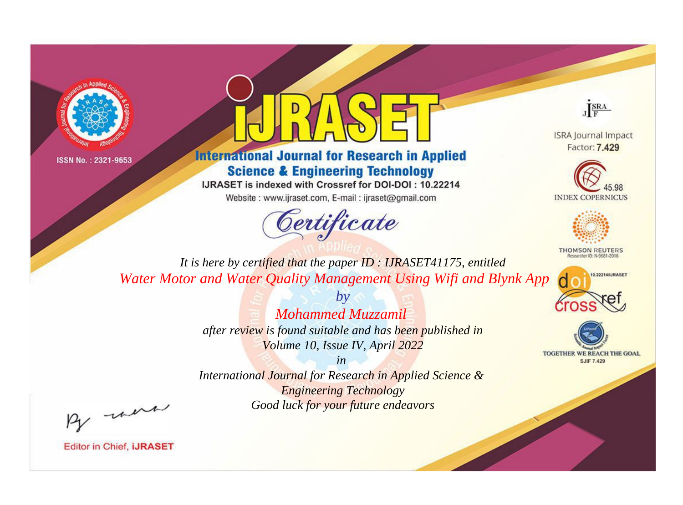



## **International Journal for Research in Applied Science & Engineering Technology**

IJRASET is indexed with Crossref for DOI-DOI: 10.22214

Website: www.ijraset.com, E-mail: ijraset@gmail.com



JERA

**ISRA Journal Impact** Factor: 7.429





**THOMSON REUTERS** 



TOGETHER WE REACH THE GOAL **SJIF 7.429** 

*It is here by certified that the paper ID : IJRASET41175, entitled Water Motor and Water Quality Management Using Wifi and Blynk App*

> *Mohammed Muzzamil after review is found suitable and has been published in Volume 10, Issue IV, April 2022*

*by*

*in* 

*International Journal for Research in Applied Science & Engineering Technology Good luck for your future endeavors*

By morn